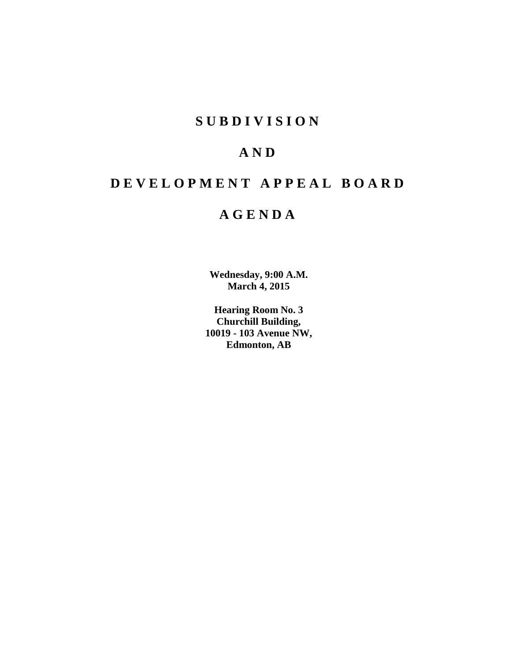# **SUBDIVISION**

# **AND**

# **DEVELOPMENT APPEAL BOARD**

# **AGENDA**

**Wednesday, 9:00 A.M. March 4, 2015**

**Hearing Room No. 3 Churchill Building, 10019 - 103 Avenue NW, Edmonton, AB**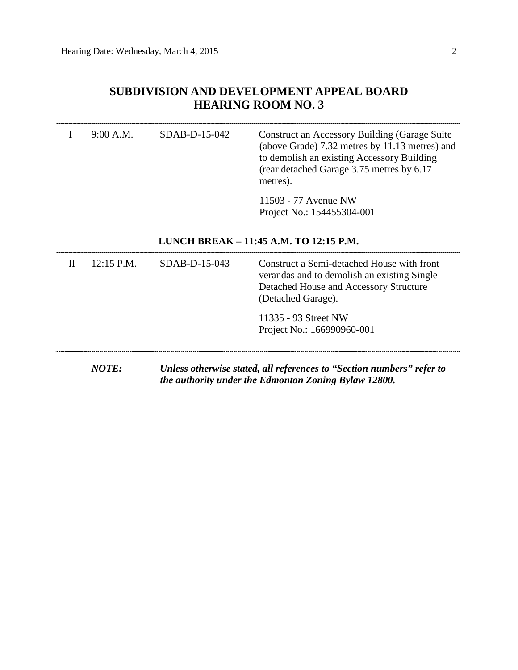## **SUBDIVISION AND DEVELOPMENT APPEAL BOARD HEARING ROOM NO. 3**

|                                        | 9:00 A.M.    | SDAB-D-15-042   | <b>Construct an Accessory Building (Garage Suite</b><br>(above Grade) 7.32 metres by 11.13 metres) and<br>to demolish an existing Accessory Building<br>(rear detached Garage 3.75 metres by 6.17)<br>metres). |
|----------------------------------------|--------------|-----------------|----------------------------------------------------------------------------------------------------------------------------------------------------------------------------------------------------------------|
|                                        |              |                 | 11503 - 77 Avenue NW<br>Project No.: 154455304-001                                                                                                                                                             |
| LUNCH BREAK - 11:45 A.M. TO 12:15 P.M. |              |                 |                                                                                                                                                                                                                |
| H                                      | 12:15 P.M.   | $SDAB-D-15-043$ | Construct a Semi-detached House with front<br>verandas and to demolish an existing Single<br>Detached House and Accessory Structure<br>(Detached Garage).                                                      |
|                                        |              |                 | 11335 - 93 Street NW<br>Project No.: 166990960-001                                                                                                                                                             |
|                                        | <b>NOTE:</b> |                 | Unless otherwise stated, all references to "Section numbers" refer to<br>the authority under the Edmonton Zoning Bylaw 12800.                                                                                  |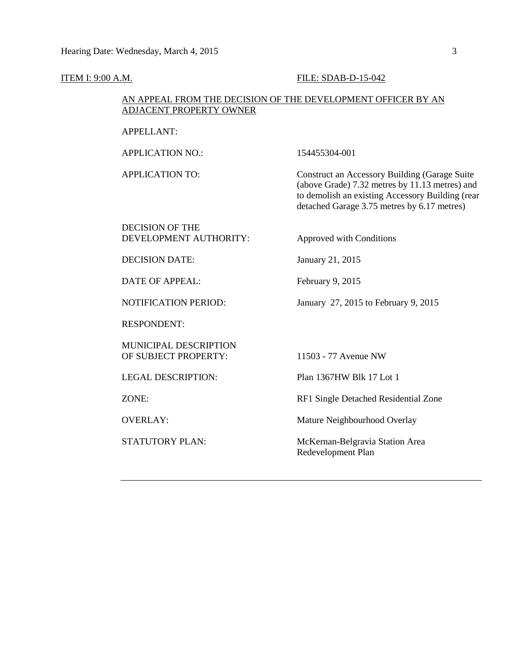### **ITEM I: 9:00 A.M. FILE: SDAB-D-15-042**

### AN APPEAL FROM THE DECISION OF THE DEVELOPMENT OFFICER BY AN ADJACENT PROPERTY OWNER

APPELLANT:

APPLICATION NO.: 154455304-001

APPLICATION TO: Construct an Accessory Building (Garage Suite (above Grade) 7.32 metres by 11.13 metres) and to demolish an existing Accessory Building (rear detached Garage 3.75 metres by 6.17 metres)

### DECISION OF THE DEVELOPMENT AUTHORITY: Approved with Conditions

DECISION DATE: January 21, 2015

DATE OF APPEAL: February 9, 2015

NOTIFICATION PERIOD: January 27, 2015 to February 9, 2015

RESPONDENT:

MUNICIPAL DESCRIPTION OF SUBJECT PROPERTY: 11503 - 77 Avenue NW

LEGAL DESCRIPTION: Plan 1367HW Blk 17 Lot 1

ZONE: RF1 Single Detached Residential Zone

OVERLAY: Mature Neighbourhood Overlay

STATUTORY PLAN: McKernan-Belgravia Station Area Redevelopment Plan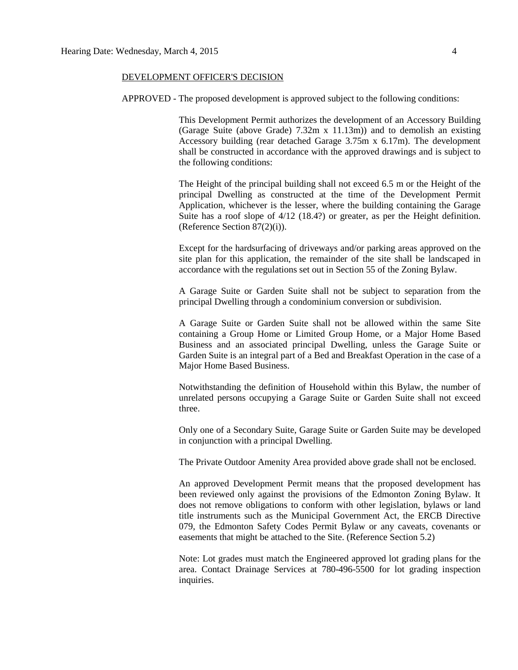### DEVELOPMENT OFFICER'S DECISION

APPROVED - The proposed development is approved subject to the following conditions:

This Development Permit authorizes the development of an Accessory Building (Garage Suite (above Grade) 7.32m x 11.13m)) and to demolish an existing Accessory building (rear detached Garage  $3.75m \times 6.17m$ ). The development shall be constructed in accordance with the approved drawings and is subject to the following conditions:

The Height of the principal building shall not exceed 6.5 m or the Height of the principal Dwelling as constructed at the time of the Development Permit Application, whichever is the lesser, where the building containing the Garage Suite has a roof slope of 4/12 (18.4?) or greater, as per the Height definition. (Reference Section 87(2)(i)).

Except for the hardsurfacing of driveways and/or parking areas approved on the site plan for this application, the remainder of the site shall be landscaped in accordance with the regulations set out in Section 55 of the Zoning Bylaw.

A Garage Suite or Garden Suite shall not be subject to separation from the principal Dwelling through a condominium conversion or subdivision.

A Garage Suite or Garden Suite shall not be allowed within the same Site containing a Group Home or Limited Group Home, or a Major Home Based Business and an associated principal Dwelling, unless the Garage Suite or Garden Suite is an integral part of a Bed and Breakfast Operation in the case of a Major Home Based Business.

Notwithstanding the definition of Household within this Bylaw, the number of unrelated persons occupying a Garage Suite or Garden Suite shall not exceed three.

Only one of a Secondary Suite, Garage Suite or Garden Suite may be developed in conjunction with a principal Dwelling.

The Private Outdoor Amenity Area provided above grade shall not be enclosed.

An approved Development Permit means that the proposed development has been reviewed only against the provisions of the Edmonton Zoning Bylaw. It does not remove obligations to conform with other legislation, bylaws or land title instruments such as the Municipal Government Act, the ERCB Directive 079, the Edmonton Safety Codes Permit Bylaw or any caveats, covenants or easements that might be attached to the Site. (Reference Section 5.2)

Note: Lot grades must match the Engineered approved lot grading plans for the area. Contact Drainage Services at 780-496-5500 for lot grading inspection inquiries.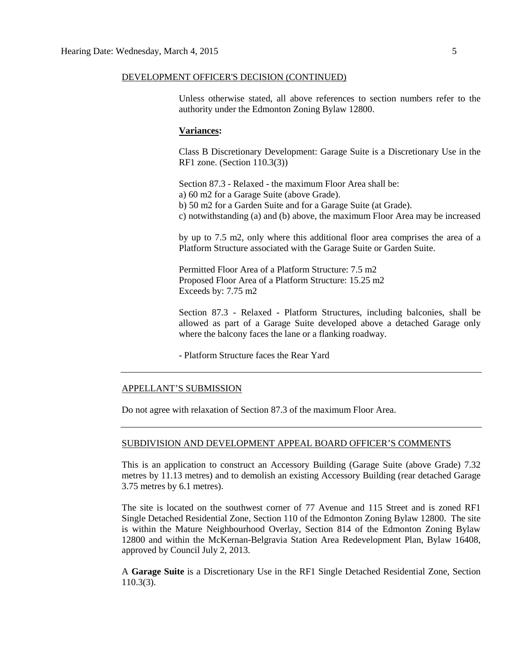### DEVELOPMENT OFFICER'S DECISION (CONTINUED)

Unless otherwise stated, all above references to section numbers refer to the authority under the Edmonton Zoning Bylaw 12800.

### **Variances:**

Class B Discretionary Development: Garage Suite is a Discretionary Use in the RF1 zone. (Section 110.3(3))

Section 87.3 - Relaxed - the maximum Floor Area shall be: a) 60 m2 for a Garage Suite (above Grade). b) 50 m2 for a Garden Suite and for a Garage Suite (at Grade). c) notwithstanding (a) and (b) above, the maximum Floor Area may be increased

by up to 7.5 m2, only where this additional floor area comprises the area of a Platform Structure associated with the Garage Suite or Garden Suite.

Permitted Floor Area of a Platform Structure: 7.5 m2 Proposed Floor Area of a Platform Structure: 15.25 m2 Exceeds by: 7.75 m2

Section 87.3 - Relaxed - Platform Structures, including balconies, shall be allowed as part of a Garage Suite developed above a detached Garage only where the balcony faces the lane or a flanking roadway.

- Platform Structure faces the Rear Yard

### APPELLANT'S SUBMISSION

Do not agree with relaxation of Section 87.3 of the maximum Floor Area.

### SUBDIVISION AND DEVELOPMENT APPEAL BOARD OFFICER'S COMMENTS

This is an application to construct an Accessory Building (Garage Suite (above Grade) 7.32 metres by 11.13 metres) and to demolish an existing Accessory Building (rear detached Garage 3.75 metres by 6.1 metres).

The site is located on the southwest corner of 77 Avenue and 115 Street and is zoned RF1 Single Detached Residential Zone, Section 110 of the Edmonton Zoning Bylaw 12800. The site is within the Mature Neighbourhood Overlay, Section 814 of the Edmonton Zoning Bylaw 12800 and within the McKernan-Belgravia Station Area Redevelopment Plan, Bylaw 16408, approved by Council July 2, 2013.

A **Garage Suite** is a Discretionary Use in the RF1 Single Detached Residential Zone, Section 110.3(3).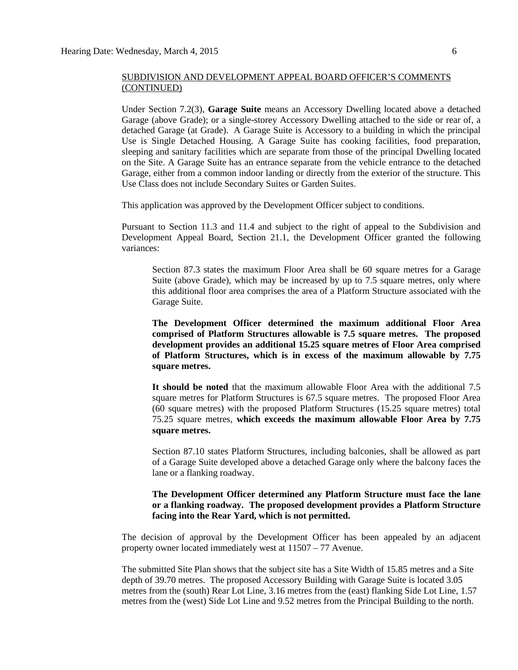Under Section 7.2(3), **Garage Suite** means an Accessory Dwelling located above a detached Garage (above Grade); or a single-storey Accessory Dwelling attached to the side or rear of, a detached Garage (at Grade). A Garage Suite is Accessory to a building in which the principal Use is Single Detached Housing. A Garage Suite has cooking facilities, food preparation, sleeping and sanitary facilities which are separate from those of the principal Dwelling located on the Site. A Garage Suite has an entrance separate from the vehicle entrance to the detached Garage, either from a common indoor landing or directly from the exterior of the structure. This Use Class does not include Secondary Suites or Garden Suites.

This application was approved by the Development Officer subject to conditions.

Pursuant to Section 11.3 and 11.4 and subject to the right of appeal to the Subdivision and Development Appeal Board, Section 21.1, the Development Officer granted the following variances:

Section 87.3 states the maximum Floor Area shall be 60 square metres for a Garage Suite (above Grade), which may be increased by up to 7.5 square metres, only where this additional floor area comprises the area of a Platform Structure associated with the Garage Suite.

**The Development Officer determined the maximum additional Floor Area comprised of Platform Structures allowable is 7.5 square metres. The proposed development provides an additional 15.25 square metres of Floor Area comprised of Platform Structures, which is in excess of the maximum allowable by 7.75 square metres.**

**It should be noted** that the maximum allowable Floor Area with the additional 7.5 square metres for Platform Structures is 67.5 square metres. The proposed Floor Area (60 square metres) with the proposed Platform Structures (15.25 square metres) total 75.25 square metres, **which exceeds the maximum allowable Floor Area by 7.75 square metres.**

Section 87.10 states Platform Structures, including balconies, shall be allowed as part of a Garage Suite developed above a detached Garage only where the balcony faces the lane or a flanking roadway.

### **The Development Officer determined any Platform Structure must face the lane or a flanking roadway. The proposed development provides a Platform Structure facing into the Rear Yard, which is not permitted.**

The decision of approval by the Development Officer has been appealed by an adjacent property owner located immediately west at 11507 – 77 Avenue.

The submitted Site Plan shows that the subject site has a Site Width of 15.85 metres and a Site depth of 39.70 metres. The proposed Accessory Building with Garage Suite is located 3.05 metres from the (south) Rear Lot Line, 3.16 metres from the (east) flanking Side Lot Line, 1.57 metres from the (west) Side Lot Line and 9.52 metres from the Principal Building to the north.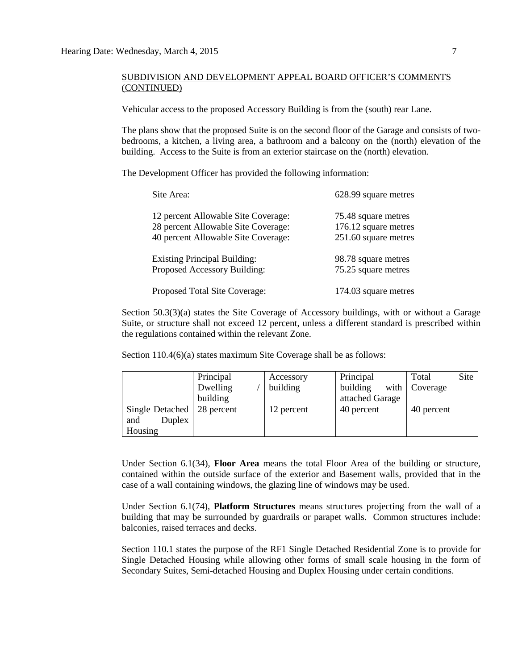Vehicular access to the proposed Accessory Building is from the (south) rear Lane.

The plans show that the proposed Suite is on the second floor of the Garage and consists of twobedrooms, a kitchen, a living area, a bathroom and a balcony on the (north) elevation of the building. Access to the Suite is from an exterior staircase on the (north) elevation.

The Development Officer has provided the following information:

| Site Area:                          | 628.99 square metres |
|-------------------------------------|----------------------|
| 12 percent Allowable Site Coverage: | 75.48 square metres  |
| 28 percent Allowable Site Coverage: | 176.12 square metres |
| 40 percent Allowable Site Coverage: | 251.60 square metres |
| <b>Existing Principal Building:</b> | 98.78 square metres  |
| Proposed Accessory Building:        | 75.25 square metres  |
| Proposed Total Site Coverage:       | 174.03 square metres |

Section 50.3(3)(a) states the Site Coverage of Accessory buildings, with or without a Garage Suite, or structure shall not exceed 12 percent, unless a different standard is prescribed within the regulations contained within the relevant Zone.

Section 110.4(6)(a) states maximum Site Coverage shall be as follows:

|                                             | Principal<br>Dwelling<br>building | Accessory<br>building | Principal<br>building<br>attached Garage | Site<br>Total<br>with $\vert$ Coverage |
|---------------------------------------------|-----------------------------------|-----------------------|------------------------------------------|----------------------------------------|
| Single Detached<br>Duplex<br>and<br>Housing | 28 percent                        | 12 percent            | 40 percent                               | 40 percent                             |

Under Section 6.1(34), **Floor Area** means the total Floor Area of the building or structure, contained within the outside surface of the exterior and Basement walls, provided that in the case of a wall containing windows, the glazing line of windows may be used.

Under Section 6.1(74), **Platform Structures** means structures projecting from the wall of a building that may be surrounded by guardrails or parapet walls. Common structures include: balconies, raised terraces and decks.

Section 110.1 states the purpose of the RF1 Single Detached Residential Zone is to provide for Single Detached Housing while allowing other forms of small scale housing in the form of Secondary Suites, Semi-detached Housing and Duplex Housing under certain conditions.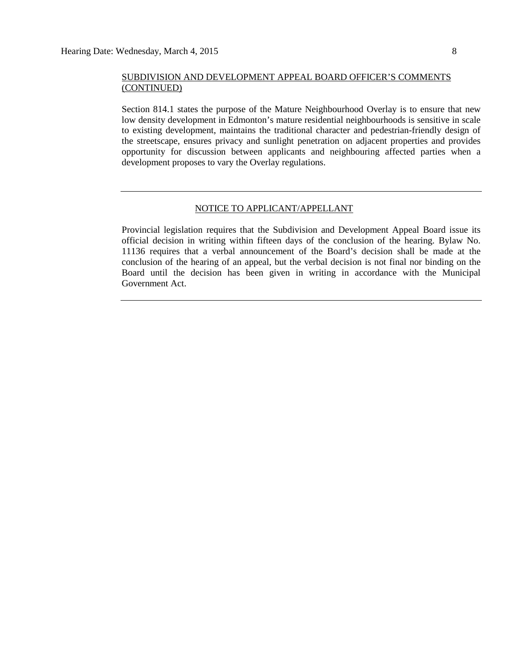Section 814.1 states the purpose of the Mature Neighbourhood Overlay is to ensure that new low density development in Edmonton's mature residential neighbourhoods is sensitive in scale to existing development, maintains the traditional character and pedestrian-friendly design of the streetscape, ensures privacy and sunlight penetration on adjacent properties and provides opportunity for discussion between applicants and neighbouring affected parties when a development proposes to vary the Overlay regulations.

### NOTICE TO APPLICANT/APPELLANT

Provincial legislation requires that the Subdivision and Development Appeal Board issue its official decision in writing within fifteen days of the conclusion of the hearing. Bylaw No. 11136 requires that a verbal announcement of the Board's decision shall be made at the conclusion of the hearing of an appeal, but the verbal decision is not final nor binding on the Board until the decision has been given in writing in accordance with the Municipal Government Act.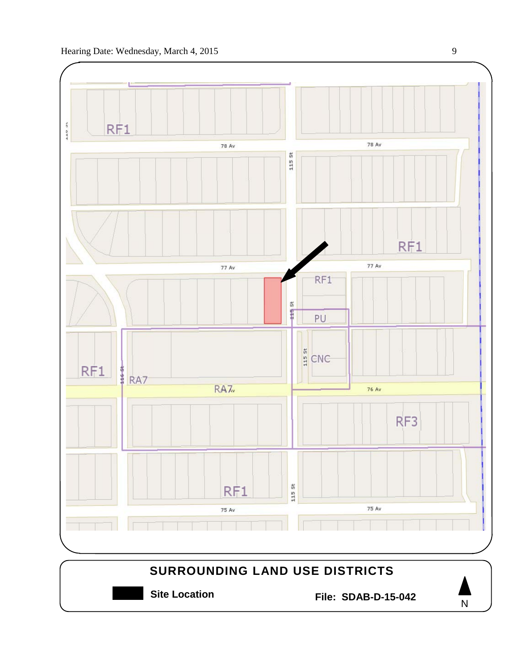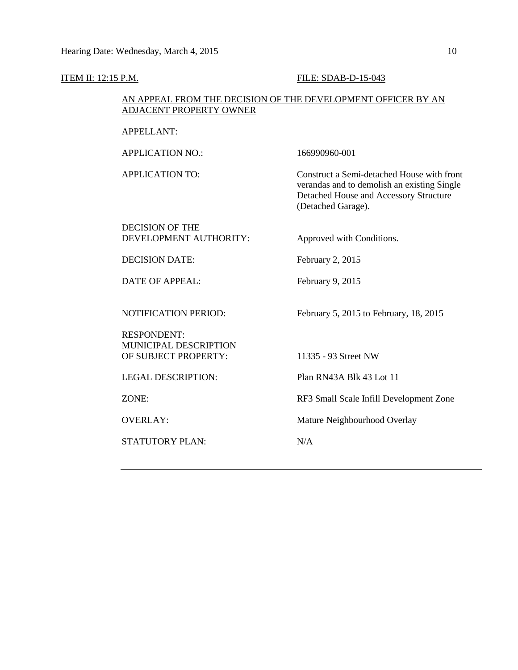### **ITEM II: 12:15 P.M. FILE: SDAB-D-15-043**

### AN APPEAL FROM THE DECISION OF THE DEVELOPMENT OFFICER BY AN ADJACENT PROPERTY OWNER

### APPELLANT:

APPLICATION NO.: 166990960-001

APPLICATION TO: Construct a Semi-detached House with front verandas and to demolish an existing Single Detached House and Accessory Structure (Detached Garage).

### DECISION OF THE DEVELOPMENT AUTHORITY: Approved with Conditions.

DECISION DATE: February 2, 2015

DATE OF APPEAL: February 9, 2015

NOTIFICATION PERIOD: February 5, 2015 to February, 18, 2015

RESPONDENT: MUNICIPAL DESCRIPTION OF SUBJECT PROPERTY: 11335 - 93 Street NW

STATUTORY PLAN: N/A

LEGAL DESCRIPTION: Plan RN43A Blk 43 Lot 11

ZONE: RF3 Small Scale Infill Development Zone

OVERLAY: Mature Neighbourhood Overlay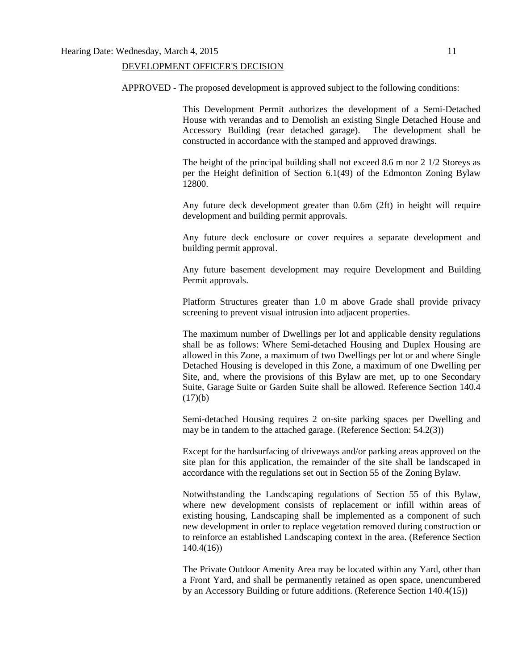### DEVELOPMENT OFFICER'S DECISION

APPROVED - The proposed development is approved subject to the following conditions:

This Development Permit authorizes the development of a Semi-Detached House with verandas and to Demolish an existing Single Detached House and Accessory Building (rear detached garage). The development shall be Accessory Building (rear detached garage). constructed in accordance with the stamped and approved drawings.

The height of the principal building shall not exceed 8.6 m nor 2 1/2 Storeys as per the Height definition of Section 6.1(49) of the Edmonton Zoning Bylaw 12800.

Any future deck development greater than 0.6m (2ft) in height will require development and building permit approvals.

Any future deck enclosure or cover requires a separate development and building permit approval.

Any future basement development may require Development and Building Permit approvals.

Platform Structures greater than 1.0 m above Grade shall provide privacy screening to prevent visual intrusion into adjacent properties.

The maximum number of Dwellings per lot and applicable density regulations shall be as follows: Where Semi-detached Housing and Duplex Housing are allowed in this Zone, a maximum of two Dwellings per lot or and where Single Detached Housing is developed in this Zone, a maximum of one Dwelling per Site, and, where the provisions of this Bylaw are met, up to one Secondary Suite, Garage Suite or Garden Suite shall be allowed. Reference Section 140.4  $(17)(b)$ 

Semi-detached Housing requires 2 on-site parking spaces per Dwelling and may be in tandem to the attached garage. (Reference Section: 54.2(3))

Except for the hardsurfacing of driveways and/or parking areas approved on the site plan for this application, the remainder of the site shall be landscaped in accordance with the regulations set out in Section 55 of the Zoning Bylaw.

Notwithstanding the Landscaping regulations of Section 55 of this Bylaw, where new development consists of replacement or infill within areas of existing housing, Landscaping shall be implemented as a component of such new development in order to replace vegetation removed during construction or to reinforce an established Landscaping context in the area. (Reference Section 140.4(16))

The Private Outdoor Amenity Area may be located within any Yard, other than a Front Yard, and shall be permanently retained as open space, unencumbered by an Accessory Building or future additions. (Reference Section 140.4(15))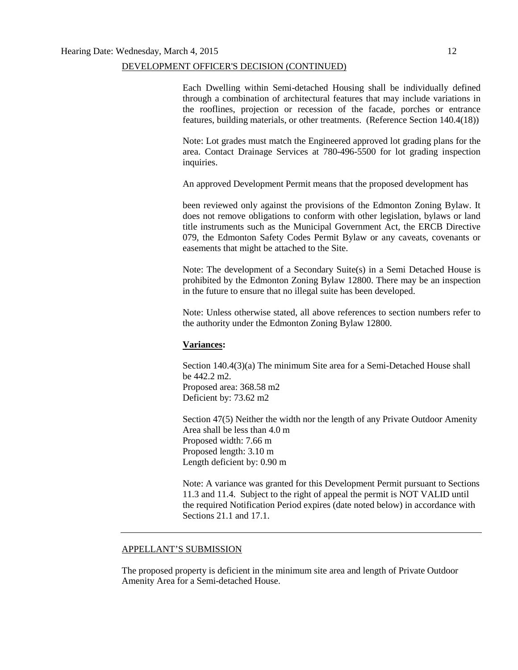### DEVELOPMENT OFFICER'S DECISION (CONTINUED)

Each Dwelling within Semi-detached Housing shall be individually defined through a combination of architectural features that may include variations in the rooflines, projection or recession of the facade, porches or entrance features, building materials, or other treatments. (Reference Section 140.4(18))

Note: Lot grades must match the Engineered approved lot grading plans for the area. Contact Drainage Services at 780-496-5500 for lot grading inspection inquiries.

An approved Development Permit means that the proposed development has

been reviewed only against the provisions of the Edmonton Zoning Bylaw. It does not remove obligations to conform with other legislation, bylaws or land title instruments such as the Municipal Government Act, the ERCB Directive 079, the Edmonton Safety Codes Permit Bylaw or any caveats, covenants or easements that might be attached to the Site.

Note: The development of a Secondary Suite(s) in a Semi Detached House is prohibited by the Edmonton Zoning Bylaw 12800. There may be an inspection in the future to ensure that no illegal suite has been developed.

Note: Unless otherwise stated, all above references to section numbers refer to the authority under the Edmonton Zoning Bylaw 12800.

### **Variances:**

Section 140.4(3)(a) The minimum Site area for a Semi-Detached House shall be 442.2 m2. Proposed area: 368.58 m2 Deficient by: 73.62 m2

Section 47(5) Neither the width nor the length of any Private Outdoor Amenity Area shall be less than 4.0 m Proposed width: 7.66 m Proposed length: 3.10 m Length deficient by: 0.90 m

Note: A variance was granted for this Development Permit pursuant to Sections 11.3 and 11.4. Subject to the right of appeal the permit is NOT VALID until the required Notification Period expires (date noted below) in accordance with Sections 21.1 and 17.1.

### APPELLANT'S SUBMISSION

The proposed property is deficient in the minimum site area and length of Private Outdoor Amenity Area for a Semi-detached House.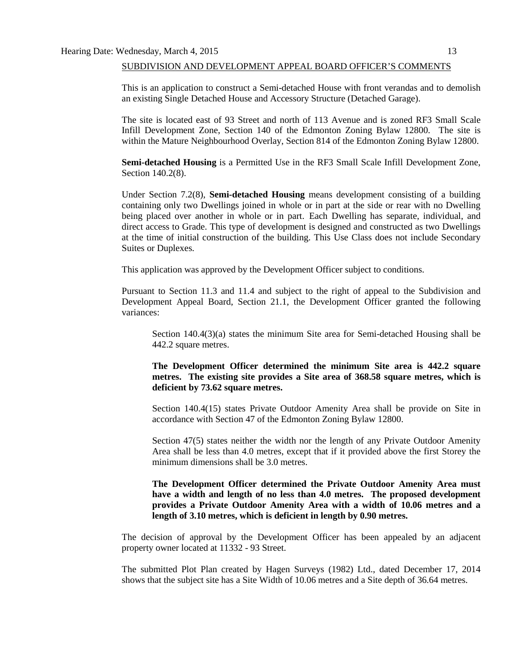This is an application to construct a Semi-detached House with front verandas and to demolish an existing Single Detached House and Accessory Structure (Detached Garage).

The site is located east of 93 Street and north of 113 Avenue and is zoned RF3 Small Scale Infill Development Zone, Section 140 of the Edmonton Zoning Bylaw 12800. The site is within the Mature Neighbourhood Overlay, Section 814 of the Edmonton Zoning Bylaw 12800.

**Semi-detached Housing** is a Permitted Use in the RF3 Small Scale Infill Development Zone, Section 140.2(8).

Under Section 7.2(8), **Semi-detached Housing** means development consisting of a building containing only two Dwellings joined in whole or in part at the side or rear with no Dwelling being placed over another in whole or in part. Each Dwelling has separate, individual, and direct access to Grade. This type of development is designed and constructed as two Dwellings at the time of initial construction of the building. This Use Class does not include Secondary Suites or Duplexes.

This application was approved by the Development Officer subject to conditions.

Pursuant to Section 11.3 and 11.4 and subject to the right of appeal to the Subdivision and Development Appeal Board, Section 21.1, the Development Officer granted the following variances:

Section 140.4(3)(a) states the minimum Site area for Semi-detached Housing shall be 442.2 square metres.

**The Development Officer determined the minimum Site area is 442.2 square metres. The existing site provides a Site area of 368.58 square metres, which is deficient by 73.62 square metres.**

Section 140.4(15) states Private Outdoor Amenity Area shall be provide on Site in accordance with Section 47 of the Edmonton Zoning Bylaw 12800.

Section 47(5) states neither the width nor the length of any Private Outdoor Amenity Area shall be less than 4.0 metres, except that if it provided above the first Storey the minimum dimensions shall be 3.0 metres.

**The Development Officer determined the Private Outdoor Amenity Area must have a width and length of no less than 4.0 metres. The proposed development provides a Private Outdoor Amenity Area with a width of 10.06 metres and a length of 3.10 metres, which is deficient in length by 0.90 metres.**

The decision of approval by the Development Officer has been appealed by an adjacent property owner located at 11332 - 93 Street.

The submitted Plot Plan created by Hagen Surveys (1982) Ltd., dated December 17, 2014 shows that the subject site has a Site Width of 10.06 metres and a Site depth of 36.64 metres.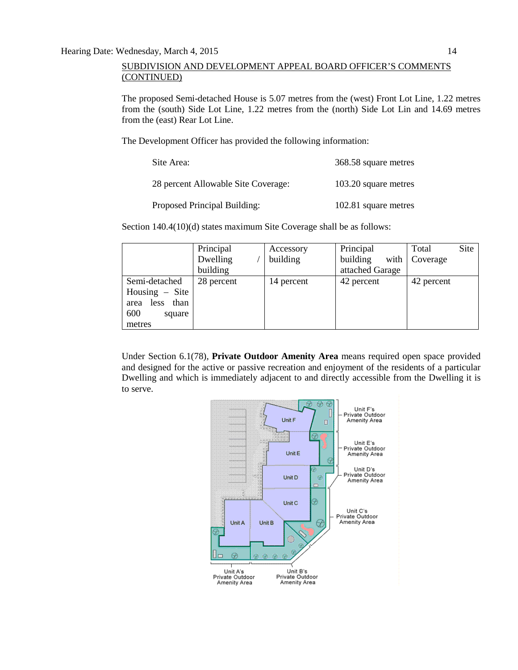The proposed Semi-detached House is 5.07 metres from the (west) Front Lot Line, 1.22 metres from the (south) Side Lot Line, 1.22 metres from the (north) Side Lot Lin and 14.69 metres from the (east) Rear Lot Line.

The Development Officer has provided the following information:

| Site Area:                          | 368.58 square metres |
|-------------------------------------|----------------------|
| 28 percent Allowable Site Coverage: | 103.20 square metres |
| Proposed Principal Building:        | 102.81 square metres |

Section 140.4(10)(d) states maximum Site Coverage shall be as follows:

|                                                                                      | Principal<br>Dwelling<br>building | Accessory<br>building | Principal<br>building<br>attached Garage | Site<br>Total<br>with   Coverage |  |
|--------------------------------------------------------------------------------------|-----------------------------------|-----------------------|------------------------------------------|----------------------------------|--|
| Semi-detached<br>Housing $-$ Site<br>than<br>less<br>area<br>600<br>square<br>metres | 28 percent                        | 14 percent            | 42 percent                               | 42 percent                       |  |

Under Section 6.1(78), **Private Outdoor Amenity Area** means required open space provided and designed for the active or passive recreation and enjoyment of the residents of a particular Dwelling and which is immediately adjacent to and directly accessible from the Dwelling it is to serve.

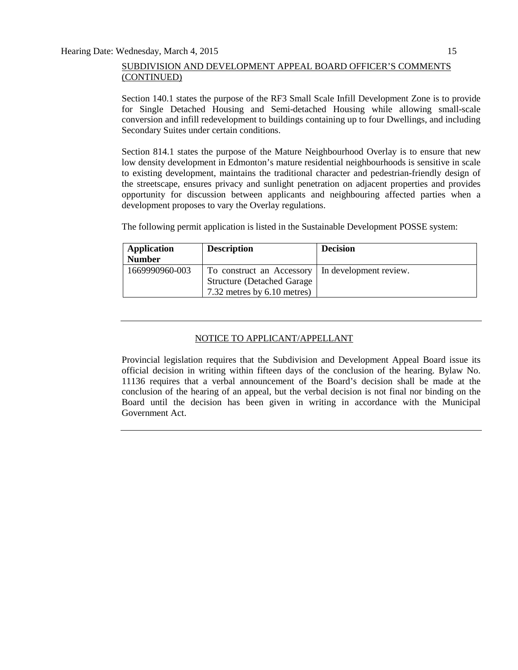Section 140.1 states the purpose of the RF3 Small Scale Infill Development Zone is to provide for Single Detached Housing and Semi-detached Housing while allowing small-scale conversion and infill redevelopment to buildings containing up to four Dwellings, and including Secondary Suites under certain conditions.

Section 814.1 states the purpose of the Mature Neighbourhood Overlay is to ensure that new low density development in Edmonton's mature residential neighbourhoods is sensitive in scale to existing development, maintains the traditional character and pedestrian-friendly design of the streetscape, ensures privacy and sunlight penetration on adjacent properties and provides opportunity for discussion between applicants and neighbouring affected parties when a development proposes to vary the Overlay regulations.

The following permit application is listed in the Sustainable Development POSSE system:

| Application<br><b>Number</b> | <b>Description</b>                 | <b>Decision</b>        |
|------------------------------|------------------------------------|------------------------|
| 1669990960-003               | To construct an Accessory          | In development review. |
|                              | <b>Structure (Detached Garage)</b> |                        |
|                              | 7.32 metres by 6.10 metres)        |                        |

### NOTICE TO APPLICANT/APPELLANT

Provincial legislation requires that the Subdivision and Development Appeal Board issue its official decision in writing within fifteen days of the conclusion of the hearing. Bylaw No. 11136 requires that a verbal announcement of the Board's decision shall be made at the conclusion of the hearing of an appeal, but the verbal decision is not final nor binding on the Board until the decision has been given in writing in accordance with the Municipal Government Act.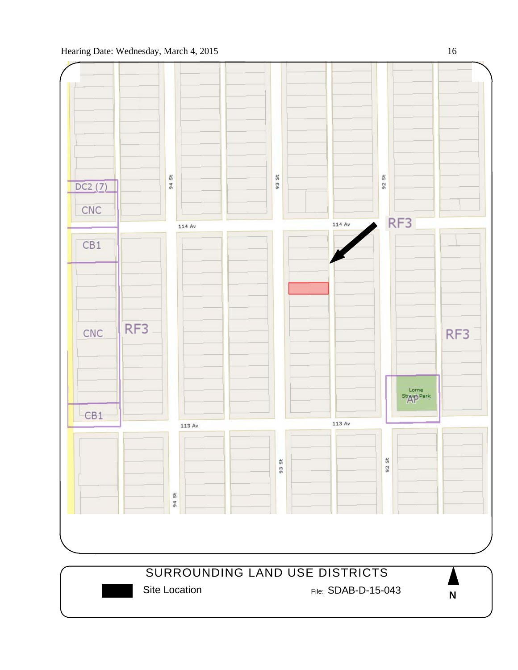## Hearing Date: Wednesday, March 4, 2015 16